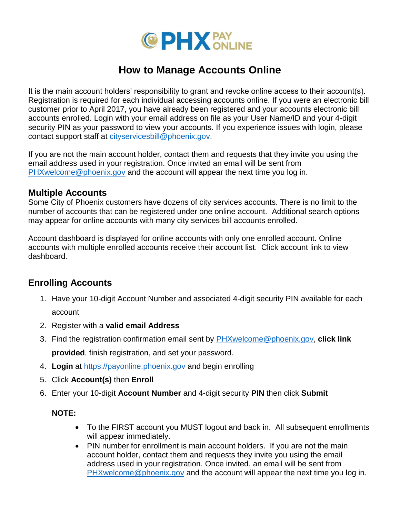

# **How to Manage Accounts Online**

It is the main account holders' responsibility to grant and revoke online access to their account(s). Registration is required for each individual accessing accounts online. If you were an electronic bill customer prior to April 2017, you have already been registered and your accounts electronic bill accounts enrolled. Login with your email address on file as your User Name/ID and your 4-digit security PIN as your password to view your accounts. If you experience issues with login, please contact support staff at [cityservicesbill@phoenix.gov.](mailto:cityservicesbill@phoenix.gov)

If you are not the main account holder, contact them and requests that they invite you using the email address used in your registration. Once invited an email will be sent from [PHXwelcome@phoenix.gov](mailto:PHXwelcome@phoenix.gov) and the account will appear the next time you log in.

#### **Multiple Accounts**

Some City of Phoenix customers have dozens of city services accounts. There is no limit to the number of accounts that can be registered under one online account. Additional search options may appear for online accounts with many city services bill accounts enrolled.

Account dashboard is displayed for online accounts with only one enrolled account. Online accounts with multiple enrolled accounts receive their account list. Click account link to view dashboard.

### **Enrolling Accounts**

- 1. Have your 10-digit Account Number and associated 4-digit security PIN available for each account
- 2. Register with a **valid email Address**
- 3. Find the registration confirmation email sent by [PHXwelcome@phoenix.gov,](mailto:PHXwelcome@phoenix.gov) **click link provided**, finish registration, and set your password.
- 4. **Login** at [https://payonline.phoenix.gov](https://payonline.phoenix.gov/) and begin enrolling
- 5. Click **Account(s)** then **Enroll**
- 6. Enter your 10-digit **Account Number** and 4-digit security **PIN** then click **Submit**

#### **NOTE:**

- To the FIRST account you MUST logout and back in. All subsequent enrollments will appear immediately.
- PIN number for enrollment is main account holders. If you are not the main account holder, contact them and requests they invite you using the email address used in your registration. Once invited, an email will be sent from [PHXwelcome@phoenix.gov](mailto:PHXwelcome@phoenix.gov) and the account will appear the next time you log in.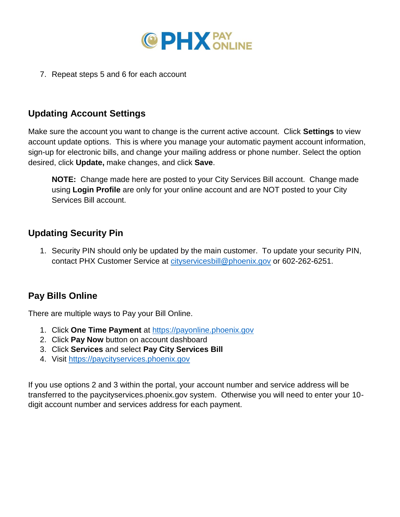

7. Repeat steps 5 and 6 for each account

# **Updating Account Settings**

Make sure the account you want to change is the current active account. Click **Settings** to view account update options. This is where you manage your automatic payment account information, sign-up for electronic bills, and change your mailing address or phone number. Select the option desired, click **Update,** make changes, and click **Save**.

**NOTE:** Change made here are posted to your City Services Bill account. Change made using **Login Profile** are only for your online account and are NOT posted to your City Services Bill account.

### **Updating Security Pin**

1. Security PIN should only be updated by the main customer. To update your security PIN, contact PHX Customer Service at [cityservicesbill@phoenix.gov](mailto:cityservicesbill@phoenix.gov) or 602-262-6251.

## **Pay Bills Online**

There are multiple ways to Pay your Bill Online.

- 1. Click **One Time Payment** at [https://payonline.phoenix.gov](https://payonline.phoenix.gov/)
- 2. Click **Pay Now** button on account dashboard
- 3. Click **Services** and select **Pay City Services Bill**
- 4. Visit [https://paycityservices.phoenix.gov](https://paycityservices.phoenix.gov/)

If you use options 2 and 3 within the portal, your account number and service address will be transferred to the paycityservices.phoenix.gov system. Otherwise you will need to enter your 10 digit account number and services address for each payment.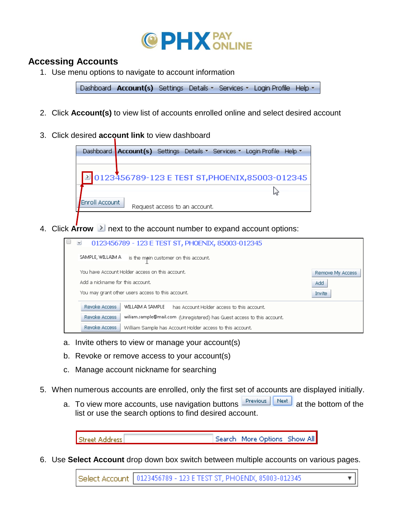

#### **Accessing Accounts**

1. Use menu options to navigate to account information

Dashboard Account(s) Settings Details - Services - Login Profile Help -

- 2. Click **Account(s)** to view list of accounts enrolled online and select desired account
- 3. Click desired **account link** to view dashboard

|                | Dashboard Account(s) Settings Details ▼ Services ▼ Login Profile Help ▼ |
|----------------|-------------------------------------------------------------------------|
|                |                                                                         |
|                | 20123456789-123 E TEST ST, PHOENIX, 85003-012345                        |
|                |                                                                         |
| Enroll Account | Request access to an account.                                           |

4. Click **Arrow E** next to the account number to expand account options:

| $\vee$<br>0123456789 - 123 E TEST ST, PHOENIX, 85003-012345                              |                  |  |  |
|------------------------------------------------------------------------------------------|------------------|--|--|
| SAMPLE, WILLAIM A<br>is the main customer on this account.                               |                  |  |  |
| You have Account Holder access on this account.                                          | Remove My Access |  |  |
| Add a nickname for this account.                                                         | Add              |  |  |
| You may grant other users access to this account.                                        | Invite           |  |  |
| Revoke Access<br>WILLAIM A SAMPLE<br>has Account Holder access to this account.          |                  |  |  |
| Revoke Access<br>wiliam.sample@mail.com (Unregistered) has Guest access to this account. |                  |  |  |
| Revoke Access<br>William Sample has Account Holder access to this account.               |                  |  |  |

- a. Invite others to view or manage your account(s)
- b. Revoke or remove access to your account(s)
- c. Manage account nickname for searching
- 5. When numerous accounts are enrolled, only the first set of accounts are displayed initially.
	- a. To view more accounts, use navigation buttons  $R_{\text{previous}}$   $R_{\text{next}}$  at the bottom of the list or use the search options to find desired account.

Search More Options Show All **Street Address** 

6. Use **Select Account** drop down box switch between multiple accounts on various pages.

Select Account | 0123456789 - 123 E TEST ST, PHOEND(, 85003-012345)